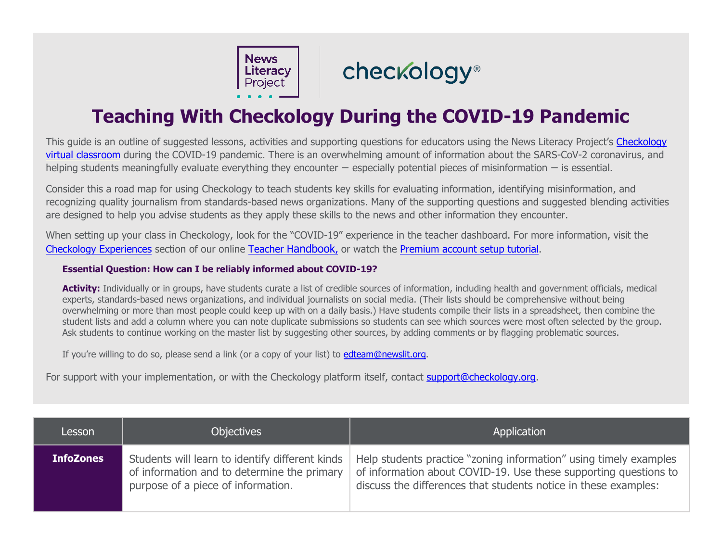**News** Literacy

## checkology®

## **Teaching With Checkology During the COVID-19 Pandemic**

This guide is an outline of suggested lessons, activities and supporting questions for educators using the News Literacy Project's [Checkology](https://newslit.org/educators/checkology/) [virtual classroom](https://newslit.org/educators/checkology/) during the COVID-19 pandemic. There is an overwhelming amount of information about the SARS-CoV-2 coronavirus, and helping students meaningfully evaluate everything they encounter — especially potential pieces of misinformation — is essential.

Consider this a road map for using Checkology to teach students key skills for evaluating information, identifying misinformation, and recognizing quality journalism from standards-based news organizations. Many of the supporting questions and suggested blending activities are designed to help you advise students as they apply these skills to the news and other information they encounter.

When setting up your class in Checkology, look for the "COVID-19" experience in the teacher dashboard. For more information, visit the [Checkology Experiences](https://checkology.zendesk.com/hc/en-us/sections/360001380191-Checkology-Experiences) section of our online [Teacher Handbook,](https://checkology.zendesk.com/hc/en-us) or watch the [Premium account setup tutorial.](http://bit.ly/checkologytutorial)

## **Essential Question: How can I be reliably informed about COVID-19?**

**Activity:** Individually or in groups, have students curate a list of credible sources of information, including health and government officials, medical experts, standards-based news organizations, and individual journalists on social media. (Their lists should be comprehensive without being overwhelming or more than most people could keep up with on a daily basis.) Have students compile their lists in a spreadsheet, then combine the student lists and add a column where you can note duplicate submissions so students can see which sources were most often selected by the group. Ask students to continue working on the master list by suggesting other sources, by adding comments or by flagging problematic sources.

If you're willing to do so, please send a link (or a copy of your list) to [edteam@newslit.org.](mailto:edteam@newslit.org)

For support with your implementation, or with the Checkology platform itself, contact [support@checkology.org.](mailto:support@checkology.org)

| Lesson           | <b>Objectives</b>                                                                                                                    | Application                                                                                                                                                                                              |
|------------------|--------------------------------------------------------------------------------------------------------------------------------------|----------------------------------------------------------------------------------------------------------------------------------------------------------------------------------------------------------|
| <b>InfoZones</b> | Students will learn to identify different kinds<br>of information and to determine the primary<br>purpose of a piece of information. | Help students practice "zoning information" using timely examples<br>of information about COVID-19. Use these supporting questions to<br>discuss the differences that students notice in these examples: |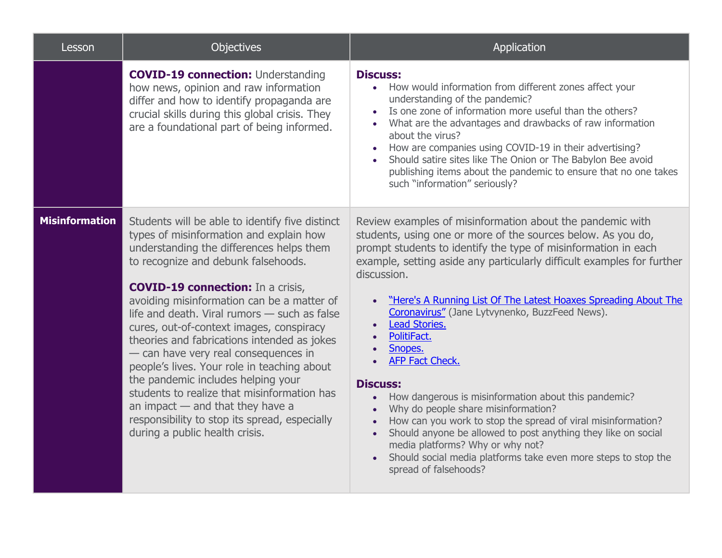| Lesson                | Objectives                                                                                                                                                                                                                                                                                                                                                                                                                                                                                                                                                                                                                                                                                                              | Application                                                                                                                                                                                                                                                                                                                                                                                                                                                                                                                                                                                                                                                                                                                                                                                                                                                                                                          |
|-----------------------|-------------------------------------------------------------------------------------------------------------------------------------------------------------------------------------------------------------------------------------------------------------------------------------------------------------------------------------------------------------------------------------------------------------------------------------------------------------------------------------------------------------------------------------------------------------------------------------------------------------------------------------------------------------------------------------------------------------------------|----------------------------------------------------------------------------------------------------------------------------------------------------------------------------------------------------------------------------------------------------------------------------------------------------------------------------------------------------------------------------------------------------------------------------------------------------------------------------------------------------------------------------------------------------------------------------------------------------------------------------------------------------------------------------------------------------------------------------------------------------------------------------------------------------------------------------------------------------------------------------------------------------------------------|
|                       | <b>COVID-19 connection: Understanding</b><br>how news, opinion and raw information<br>differ and how to identify propaganda are<br>crucial skills during this global crisis. They<br>are a foundational part of being informed.                                                                                                                                                                                                                                                                                                                                                                                                                                                                                         | <b>Discuss:</b><br>How would information from different zones affect your<br>$\bullet$<br>understanding of the pandemic?<br>Is one zone of information more useful than the others?<br>$\bullet$<br>What are the advantages and drawbacks of raw information<br>about the virus?<br>How are companies using COVID-19 in their advertising?<br>Should satire sites like The Onion or The Babylon Bee avoid<br>publishing items about the pandemic to ensure that no one takes<br>such "information" seriously?                                                                                                                                                                                                                                                                                                                                                                                                        |
| <b>Misinformation</b> | Students will be able to identify five distinct<br>types of misinformation and explain how<br>understanding the differences helps them<br>to recognize and debunk falsehoods.<br><b>COVID-19 connection:</b> In a crisis,<br>avoiding misinformation can be a matter of<br>life and death. Viral rumors - such as false<br>cures, out-of-context images, conspiracy<br>theories and fabrications intended as jokes<br>- can have very real consequences in<br>people's lives. Your role in teaching about<br>the pandemic includes helping your<br>students to realize that misinformation has<br>an impact $-$ and that they have a<br>responsibility to stop its spread, especially<br>during a public health crisis. | Review examples of misinformation about the pandemic with<br>students, using one or more of the sources below. As you do,<br>prompt students to identify the type of misinformation in each<br>example, setting aside any particularly difficult examples for further<br>discussion.<br>"Here's A Running List Of The Latest Hoaxes Spreading About The<br>Coronavirus" (Jane Lytvynenko, BuzzFeed News).<br><b>Lead Stories.</b><br>$\bullet$<br>PolitiFact.<br>$\bullet$<br>Snopes.<br>AFP Fact Check.<br><b>Discuss:</b><br>How dangerous is misinformation about this pandemic?<br>$\bullet$<br>Why do people share misinformation?<br>How can you work to stop the spread of viral misinformation?<br>Should anyone be allowed to post anything they like on social<br>$\bullet$<br>media platforms? Why or why not?<br>Should social media platforms take even more steps to stop the<br>spread of falsehoods? |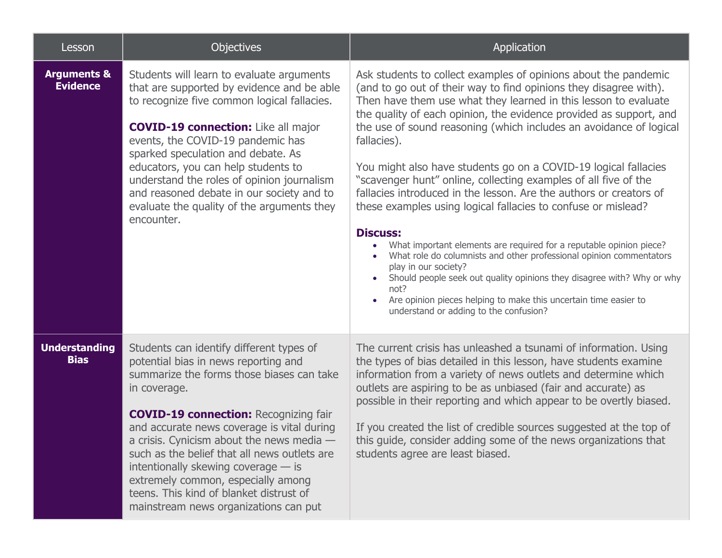| Lesson                                    | <b>Objectives</b>                                                                                                                                                                                                                                                                                                                                                                                                                                                                                         | Application                                                                                                                                                                                                                                                                                                                                                                                                                                                                                                                                                                                                                                                                                                                                                                                                                                                                                                                                                                                                                              |
|-------------------------------------------|-----------------------------------------------------------------------------------------------------------------------------------------------------------------------------------------------------------------------------------------------------------------------------------------------------------------------------------------------------------------------------------------------------------------------------------------------------------------------------------------------------------|------------------------------------------------------------------------------------------------------------------------------------------------------------------------------------------------------------------------------------------------------------------------------------------------------------------------------------------------------------------------------------------------------------------------------------------------------------------------------------------------------------------------------------------------------------------------------------------------------------------------------------------------------------------------------------------------------------------------------------------------------------------------------------------------------------------------------------------------------------------------------------------------------------------------------------------------------------------------------------------------------------------------------------------|
| <b>Arguments &amp;</b><br><b>Evidence</b> | Students will learn to evaluate arguments<br>that are supported by evidence and be able<br>to recognize five common logical fallacies.<br><b>COVID-19 connection:</b> Like all major<br>events, the COVID-19 pandemic has<br>sparked speculation and debate. As<br>educators, you can help students to<br>understand the roles of opinion journalism<br>and reasoned debate in our society and to<br>evaluate the quality of the arguments they<br>encounter.                                             | Ask students to collect examples of opinions about the pandemic<br>(and to go out of their way to find opinions they disagree with).<br>Then have them use what they learned in this lesson to evaluate<br>the quality of each opinion, the evidence provided as support, and<br>the use of sound reasoning (which includes an avoidance of logical<br>fallacies).<br>You might also have students go on a COVID-19 logical fallacies<br>"scavenger hunt" online, collecting examples of all five of the<br>fallacies introduced in the lesson. Are the authors or creators of<br>these examples using logical fallacies to confuse or mislead?<br><b>Discuss:</b><br>What important elements are required for a reputable opinion piece?<br>What role do columnists and other professional opinion commentators<br>play in our society?<br>Should people seek out quality opinions they disagree with? Why or why<br>not?<br>Are opinion pieces helping to make this uncertain time easier to<br>understand or adding to the confusion? |
| <b>Understanding</b><br><b>Bias</b>       | Students can identify different types of<br>potential bias in news reporting and<br>summarize the forms those biases can take<br>in coverage.<br><b>COVID-19 connection: Recognizing fair</b><br>and accurate news coverage is vital during<br>a crisis. Cynicism about the news media -<br>such as the belief that all news outlets are<br>intentionally skewing coverage - is<br>extremely common, especially among<br>teens. This kind of blanket distrust of<br>mainstream news organizations can put | The current crisis has unleashed a tsunami of information. Using<br>the types of bias detailed in this lesson, have students examine<br>information from a variety of news outlets and determine which<br>outlets are aspiring to be as unbiased (fair and accurate) as<br>possible in their reporting and which appear to be overtly biased.<br>If you created the list of credible sources suggested at the top of<br>this guide, consider adding some of the news organizations that<br>students agree are least biased.                                                                                                                                                                                                                                                                                                                                                                                                                                                                                                              |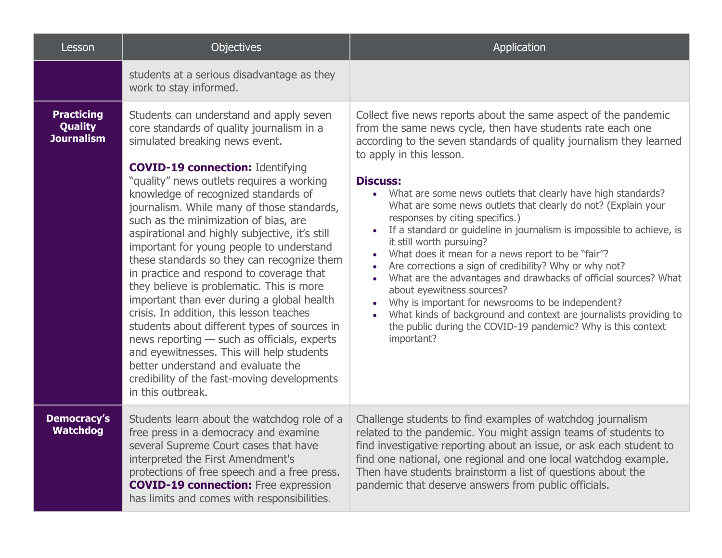| Lesson                                                   | Objectives                                                                                                                                                                                                                                                                                                                                                                                                                                                                                                                                                                                                                                                                                                                                                                                                                                                                                                                         | Application                                                                                                                                                                                                                                                                                                                                                                                                                                                                                                                                                                                                                                                                                                                                                                                                                                                                                                                                                                                |
|----------------------------------------------------------|------------------------------------------------------------------------------------------------------------------------------------------------------------------------------------------------------------------------------------------------------------------------------------------------------------------------------------------------------------------------------------------------------------------------------------------------------------------------------------------------------------------------------------------------------------------------------------------------------------------------------------------------------------------------------------------------------------------------------------------------------------------------------------------------------------------------------------------------------------------------------------------------------------------------------------|--------------------------------------------------------------------------------------------------------------------------------------------------------------------------------------------------------------------------------------------------------------------------------------------------------------------------------------------------------------------------------------------------------------------------------------------------------------------------------------------------------------------------------------------------------------------------------------------------------------------------------------------------------------------------------------------------------------------------------------------------------------------------------------------------------------------------------------------------------------------------------------------------------------------------------------------------------------------------------------------|
|                                                          | students at a serious disadvantage as they<br>work to stay informed.                                                                                                                                                                                                                                                                                                                                                                                                                                                                                                                                                                                                                                                                                                                                                                                                                                                               |                                                                                                                                                                                                                                                                                                                                                                                                                                                                                                                                                                                                                                                                                                                                                                                                                                                                                                                                                                                            |
| <b>Practicing</b><br><b>Quality</b><br><b>Journalism</b> | Students can understand and apply seven<br>core standards of quality journalism in a<br>simulated breaking news event.<br><b>COVID-19 connection: Identifying</b><br>"quality" news outlets requires a working<br>knowledge of recognized standards of<br>journalism. While many of those standards,<br>such as the minimization of bias, are<br>aspirational and highly subjective, it's still<br>important for young people to understand<br>these standards so they can recognize them<br>in practice and respond to coverage that<br>they believe is problematic. This is more<br>important than ever during a global health<br>crisis. In addition, this lesson teaches<br>students about different types of sources in<br>news reporting - such as officials, experts<br>and eyewitnesses. This will help students<br>better understand and evaluate the<br>credibility of the fast-moving developments<br>in this outbreak. | Collect five news reports about the same aspect of the pandemic<br>from the same news cycle, then have students rate each one<br>according to the seven standards of quality journalism they learned<br>to apply in this lesson.<br><b>Discuss:</b><br>What are some news outlets that clearly have high standards?<br>$\bullet$<br>What are some news outlets that clearly do not? (Explain your<br>responses by citing specifics.)<br>If a standard or guideline in journalism is impossible to achieve, is<br>it still worth pursuing?<br>What does it mean for a news report to be "fair"?<br>$\bullet$<br>Are corrections a sign of credibility? Why or why not?<br>What are the advantages and drawbacks of official sources? What<br>$\bullet$<br>about eyewitness sources?<br>Why is important for newsrooms to be independent?<br>What kinds of background and context are journalists providing to<br>the public during the COVID-19 pandemic? Why is this context<br>important? |
| <b>Democracy's</b><br><b>Watchdog</b>                    | Students learn about the watchdog role of a<br>free press in a democracy and examine<br>several Supreme Court cases that have<br>interpreted the First Amendment's<br>protections of free speech and a free press.<br><b>COVID-19 connection:</b> Free expression<br>has limits and comes with responsibilities.                                                                                                                                                                                                                                                                                                                                                                                                                                                                                                                                                                                                                   | Challenge students to find examples of watchdog journalism<br>related to the pandemic. You might assign teams of students to<br>find investigative reporting about an issue, or ask each student to<br>find one national, one regional and one local watchdog example.<br>Then have students brainstorm a list of questions about the<br>pandemic that deserve answers from public officials.                                                                                                                                                                                                                                                                                                                                                                                                                                                                                                                                                                                              |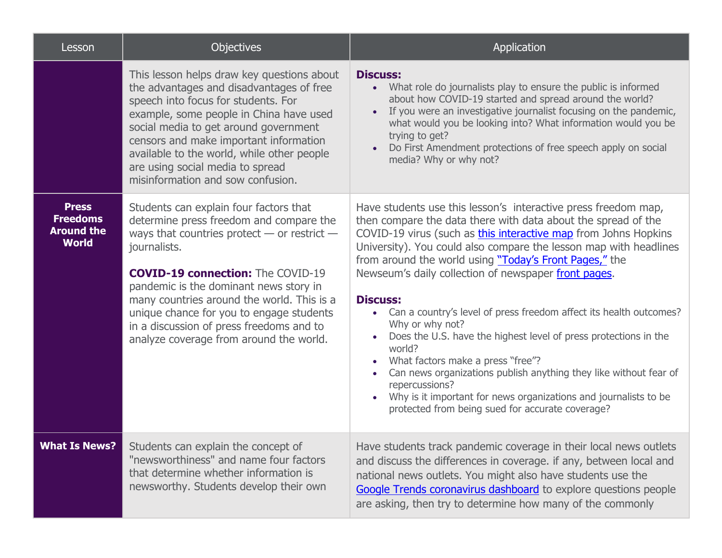| Lesson                                                               | <b>Objectives</b>                                                                                                                                                                                                                                                                                                                                                                                                           | <b>Application</b>                                                                                                                                                                                                                                                                                                                                                                                                                                                                                                                                                                                                                                                                                                                                                                                                                                   |
|----------------------------------------------------------------------|-----------------------------------------------------------------------------------------------------------------------------------------------------------------------------------------------------------------------------------------------------------------------------------------------------------------------------------------------------------------------------------------------------------------------------|------------------------------------------------------------------------------------------------------------------------------------------------------------------------------------------------------------------------------------------------------------------------------------------------------------------------------------------------------------------------------------------------------------------------------------------------------------------------------------------------------------------------------------------------------------------------------------------------------------------------------------------------------------------------------------------------------------------------------------------------------------------------------------------------------------------------------------------------------|
|                                                                      | This lesson helps draw key questions about<br>the advantages and disadvantages of free<br>speech into focus for students. For<br>example, some people in China have used<br>social media to get around government<br>censors and make important information<br>available to the world, while other people<br>are using social media to spread<br>misinformation and sow confusion.                                          | <b>Discuss:</b><br>What role do journalists play to ensure the public is informed<br>about how COVID-19 started and spread around the world?<br>If you were an investigative journalist focusing on the pandemic,<br>$\bullet$<br>what would you be looking into? What information would you be<br>trying to get?<br>Do First Amendment protections of free speech apply on social<br>media? Why or why not?                                                                                                                                                                                                                                                                                                                                                                                                                                         |
| <b>Press</b><br><b>Freedoms</b><br><b>Around the</b><br><b>World</b> | Students can explain four factors that<br>determine press freedom and compare the<br>ways that countries protect $-$ or restrict $-$<br>journalists.<br><b>COVID-19 connection:</b> The COVID-19<br>pandemic is the dominant news story in<br>many countries around the world. This is a<br>unique chance for you to engage students<br>in a discussion of press freedoms and to<br>analyze coverage from around the world. | Have students use this lesson's interactive press freedom map,<br>then compare the data there with data about the spread of the<br>COVID-19 virus (such as this interactive map from Johns Hopkins<br>University). You could also compare the lesson map with headlines<br>from around the world using "Today's Front Pages," the<br>Newseum's daily collection of newspaper front pages.<br><b>Discuss:</b><br>Can a country's level of press freedom affect its health outcomes?<br>$\bullet$<br>Why or why not?<br>Does the U.S. have the highest level of press protections in the<br>world?<br>What factors make a press "free"?<br>Can news organizations publish anything they like without fear of<br>repercussions?<br>Why is it important for news organizations and journalists to be<br>protected from being sued for accurate coverage? |
| <b>What Is News?</b>                                                 | Students can explain the concept of<br>"newsworthiness" and name four factors<br>that determine whether information is<br>newsworthy. Students develop their own                                                                                                                                                                                                                                                            | Have students track pandemic coverage in their local news outlets<br>and discuss the differences in coverage. if any, between local and<br>national news outlets. You might also have students use the<br>Google Trends coronavirus dashboard to explore questions people<br>are asking, then try to determine how many of the commonly                                                                                                                                                                                                                                                                                                                                                                                                                                                                                                              |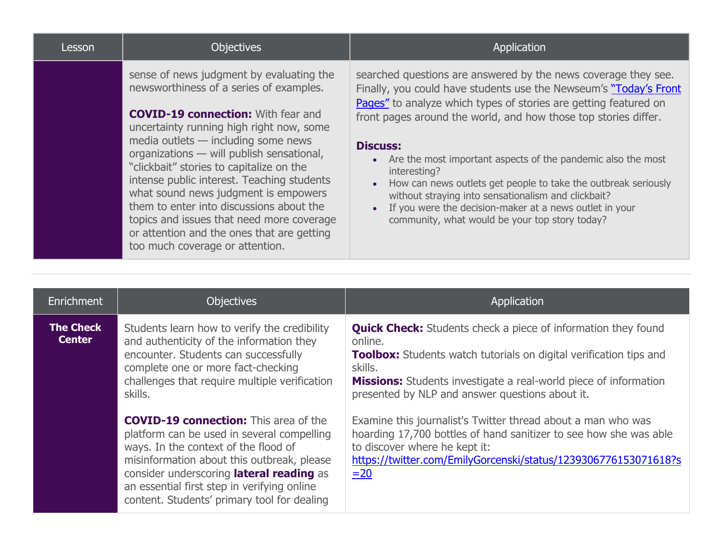| Lesson | <b>Objectives</b>                                                                                                                                                                                                                                                                                                                                                                                                                                                                                                                                                            | <b>Application</b>                                                                                                                                                                                                                                                                                                                                                                                                                                                                                                                                                                                                                   |
|--------|------------------------------------------------------------------------------------------------------------------------------------------------------------------------------------------------------------------------------------------------------------------------------------------------------------------------------------------------------------------------------------------------------------------------------------------------------------------------------------------------------------------------------------------------------------------------------|--------------------------------------------------------------------------------------------------------------------------------------------------------------------------------------------------------------------------------------------------------------------------------------------------------------------------------------------------------------------------------------------------------------------------------------------------------------------------------------------------------------------------------------------------------------------------------------------------------------------------------------|
|        | sense of news judgment by evaluating the<br>newsworthiness of a series of examples.<br><b>COVID-19 connection:</b> With fear and<br>uncertainty running high right now, some<br>media outlets - including some news<br>organizations - will publish sensational,<br>"clickbait" stories to capitalize on the<br>intense public interest. Teaching students<br>what sound news judgment is empowers<br>them to enter into discussions about the<br>topics and issues that need more coverage<br>or attention and the ones that are getting<br>too much coverage or attention. | searched questions are answered by the news coverage they see.<br>Finally, you could have students use the Newseum's "Today's Front<br>Pages" to analyze which types of stories are getting featured on<br>front pages around the world, and how those top stories differ.<br><b>Discuss:</b><br>• Are the most important aspects of the pandemic also the most<br>interesting?<br>How can news outlets get people to take the outbreak seriously<br>$\bullet$<br>without straying into sensationalism and clickbait?<br>• If you were the decision-maker at a news outlet in your<br>community, what would be your top story today? |

| Enrichment                        | <b>Objectives</b>                                                                                                                                                                                                                                                                                                          | Application                                                                                                                                                                                                                                                                                           |
|-----------------------------------|----------------------------------------------------------------------------------------------------------------------------------------------------------------------------------------------------------------------------------------------------------------------------------------------------------------------------|-------------------------------------------------------------------------------------------------------------------------------------------------------------------------------------------------------------------------------------------------------------------------------------------------------|
| <b>The Check</b><br><b>Center</b> | Students learn how to verify the credibility<br>and authenticity of the information they<br>encounter. Students can successfully<br>complete one or more fact-checking<br>challenges that require multiple verification<br>skills.                                                                                         | <b>Quick Check:</b> Students check a piece of information they found<br>online.<br><b>Toolbox:</b> Students watch tutorials on digital verification tips and<br>skills.<br><b>Missions:</b> Students investigate a real-world piece of information<br>presented by NLP and answer questions about it. |
|                                   | <b>COVID-19 connection:</b> This area of the<br>platform can be used in several compelling<br>ways. In the context of the flood of<br>misinformation about this outbreak, please<br>consider underscoring lateral reading as<br>an essential first step in verifying online<br>content. Students' primary tool for dealing | Examine this journalist's Twitter thread about a man who was<br>hoarding 17,700 bottles of hand sanitizer to see how she was able<br>to discover where he kept it:<br>https://twitter.com/EmilyGorcenski/status/1239306776153071618?s<br>$=20$                                                        |